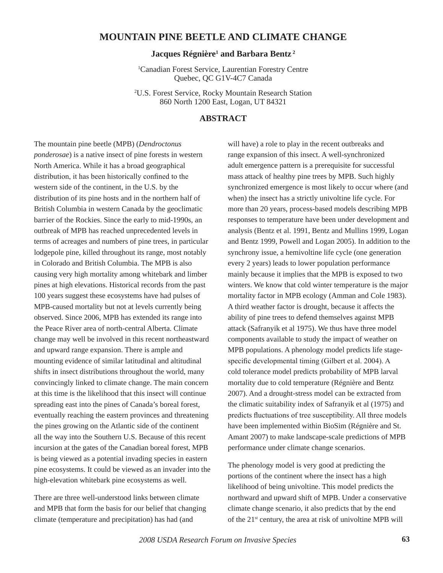## **MOUNTAIN PINE BEETLE AND CLIMATE CHANGE**

## **Jacques Régnière1 and Barbara Bentz 2**

1 Canadian Forest Service, Laurentian Forestry Centre Quebec, QC G1V-4C7 Canada

2 U.S. Forest Service, Rocky Mountain Research Station 860 North 1200 East, Logan, UT 84321

## **ABSTRACT**

The mountain pine beetle (MPB) (*Dendroctonus ponderosae*) is a native insect of pine forests in western North America. While it has a broad geographical distribution, it has been historically confined to the western side of the continent, in the U.S. by the distribution of its pine hosts and in the northern half of British Columbia in western Canada by the geoclimatic barrier of the Rockies. Since the early to mid-1990s, an outbreak of MPB has reached unprecedented levels in terms of acreages and numbers of pine trees, in particular lodgepole pine, killed throughout its range, most notably in Colorado and British Columbia. The MPB is also causing very high mortality among whitebark and limber pines at high elevations. Historical records from the past 100 years suggest these ecosystems have had pulses of MPB-caused mortality but not at levels currently being observed. Since 2006, MPB has extended its range into the Peace River area of north-central Alberta. Climate change may well be involved in this recent northeastward and upward range expansion. There is ample and mounting evidence of similar latitudinal and altitudinal shifts in insect distributions throughout the world, many convincingly linked to climate change. The main concern at this time is the likelihood that this insect will continue spreading east into the pines of Canada's boreal forest, eventually reaching the eastern provinces and threatening the pines growing on the Atlantic side of the continent all the way into the Southern U.S. Because of this recent incursion at the gates of the Canadian boreal forest, MPB is being viewed as a potential invading species in eastern pine ecosystems. It could be viewed as an invader into the high-elevation whitebark pine ecosystems as well.

There are three well-understood links between climate and MPB that form the basis for our belief that changing climate (temperature and precipitation) has had (and

will have) a role to play in the recent outbreaks and range expansion of this insect. A well-synchronized adult emergence pattern is a prerequisite for successful mass attack of healthy pine trees by MPB. Such highly synchronized emergence is most likely to occur where (and when) the insect has a strictly univoltine life cycle. For more than 20 years, process-based models describing MPB responses to temperature have been under development and analysis (Bentz et al. 1991, Bentz and Mullins 1999, Logan and Bentz 1999, Powell and Logan 2005). In addition to the synchrony issue, a hemivoltine life cycle (one generation every 2 years) leads to lower population performance mainly because it implies that the MPB is exposed to two winters. We know that cold winter temperature is the major mortality factor in MPB ecology (Amman and Cole 1983). A third weather factor is drought, because it affects the ability of pine trees to defend themselves against MPB attack (Safranyik et al 1975). We thus have three model components available to study the impact of weather on MPB populations. A phenology model predicts life stagespecific developmental timing (Gilbert et al. 2004). A cold tolerance model predicts probability of MPB larval mortality due to cold temperature (Régnière and Bentz 2007). And a drought-stress model can be extracted from the climatic suitability index of Safranyik et al (1975) and predicts fluctuations of tree susceptibility. All three models have been implemented within BioSim (Régnière and St. Amant 2007) to make landscape-scale predictions of MPB performance under climate change scenarios.

The phenology model is very good at predicting the portions of the continent where the insect has a high likelihood of being univoltine. This model predicts the northward and upward shift of MPB. Under a conservative climate change scenario, it also predicts that by the end of the 21st century, the area at risk of univoltine MPB will